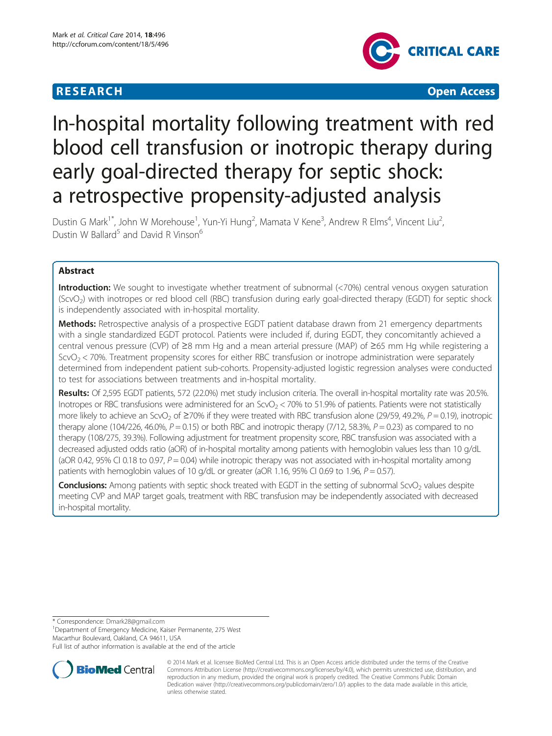# **RESEARCH CHILD CONTROL** CONTROL CONTROL CONTROL CONTROL CONTROL CONTROL CONTROL CONTROL CONTROL CONTROL CONTROL CONTROL CONTROL CONTROL CONTROL CONTROL CONTROL CONTROL CONTROL CONTROL CONTROL CONTROL CONTROL CONTROL CONTR



# In-hospital mortality following treatment with red blood cell transfusion or inotropic therapy during early goal-directed therapy for septic shock: a retrospective propensity-adjusted analysis

Dustin G Mark<sup>1\*</sup>, John W Morehouse<sup>1</sup>, Yun-Yi Hung<sup>2</sup>, Mamata V Kene<sup>3</sup>, Andrew R Elms<sup>4</sup>, Vincent Liu<sup>2</sup> , Dustin W Ballard<sup>5</sup> and David R Vinson<sup>6</sup>

# Abstract

Introduction: We sought to investigate whether treatment of subnormal (<70%) central venous oxygen saturation (ScvO2) with inotropes or red blood cell (RBC) transfusion during early goal-directed therapy (EGDT) for septic shock is independently associated with in-hospital mortality.

Methods: Retrospective analysis of a prospective EGDT patient database drawn from 21 emergency departments with a single standardized EGDT protocol. Patients were included if, during EGDT, they concomitantly achieved a central venous pressure (CVP) of ≥8 mm Hg and a mean arterial pressure (MAP) of ≥65 mm Hg while registering a ScvO<sub>2</sub> < 70%. Treatment propensity scores for either RBC transfusion or inotrope administration were separately determined from independent patient sub-cohorts. Propensity-adjusted logistic regression analyses were conducted to test for associations between treatments and in-hospital mortality.

Results: Of 2,595 EGDT patients, 572 (22.0%) met study inclusion criteria. The overall in-hospital mortality rate was 20.5%. Inotropes or RBC transfusions were administered for an  $S<sub>CO</sub>< 70%$  to 51.9% of patients. Patients were not statistically more likely to achieve an ScvO<sub>2</sub> of  $\geq$ 70% if they were treated with RBC transfusion alone (29/59, 49.2%, P = 0.19), inotropic therapy alone (104/226, 46.0%,  $P = 0.15$ ) or both RBC and inotropic therapy (7/12, 58.3%,  $P = 0.23$ ) as compared to no therapy (108/275, 39.3%). Following adjustment for treatment propensity score, RBC transfusion was associated with a decreased adjusted odds ratio (aOR) of in-hospital mortality among patients with hemoglobin values less than 10 g/dL (aOR 0.42, 95% CI 0.18 to 0.97,  $P = 0.04$ ) while inotropic therapy was not associated with in-hospital mortality among patients with hemoglobin values of 10 g/dL or greater (aOR 1.16, 95% CI 0.69 to 1.96,  $P = 0.57$ ).

Conclusions: Among patients with septic shock treated with EGDT in the setting of subnormal ScvO<sub>2</sub> values despite meeting CVP and MAP target goals, treatment with RBC transfusion may be independently associated with decreased in-hospital mortality.

\* Correspondence: [Dmark28@gmail.com](mailto:Dmark28@gmail.com) <sup>1</sup>

<sup>1</sup>Department of Emergency Medicine, Kaiser Permanente, 275 West Macarthur Boulevard, Oakland, CA 94611, USA

Full list of author information is available at the end of the article



<sup>© 2014</sup> Mark et al. licensee BioMed Central Ltd. This is an Open Access article distributed under the terms of the Creative Commons Attribution License [\(http://creativecommons.org/licenses/by/4.0\)](http://creativecommons.org/licenses/by/4.0), which permits unrestricted use, distribution, and reproduction in any medium, provided the original work is properly credited. The Creative Commons Public Domain Dedication waiver [\(http://creativecommons.org/publicdomain/zero/1.0/](http://creativecommons.org/publicdomain/zero/1.0/)) applies to the data made available in this article, unless otherwise stated.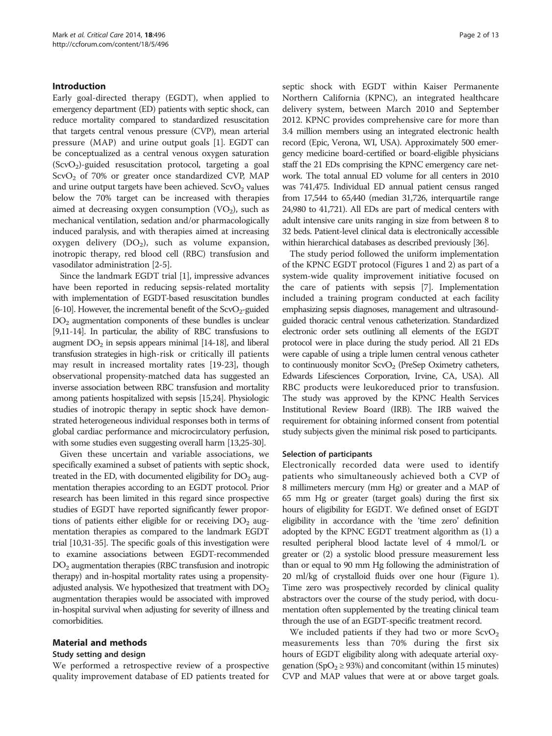## Introduction

Early goal-directed therapy (EGDT), when applied to emergency department (ED) patients with septic shock, can reduce mortality compared to standardized resuscitation that targets central venous pressure (CVP), mean arterial pressure (MAP) and urine output goals [\[1](#page-11-0)]. EGDT can be conceptualized as a central venous oxygen saturation (ScvO2)-guided resuscitation protocol, targeting a goal  $ScvO<sub>2</sub>$  of 70% or greater once standardized CVP, MAP and urine output targets have been achieved.  $ScvO<sub>2</sub>$  values below the 70% target can be increased with therapies aimed at decreasing oxygen consumption  $(VO<sub>2</sub>)$ , such as mechanical ventilation, sedation and/or pharmacologically induced paralysis, and with therapies aimed at increasing oxygen delivery  $(DO<sub>2</sub>)$ , such as volume expansion, inotropic therapy, red blood cell (RBC) transfusion and vasodilator administration [\[2-5](#page-11-0)].

Since the landmark EGDT trial [[1](#page-11-0)], impressive advances have been reported in reducing sepsis-related mortality with implementation of EGDT-based resuscitation bundles [[6-10\]](#page-11-0). However, the incremental benefit of the  $ScvO<sub>2</sub>$ -guided  $DO<sub>2</sub>$  augmentation components of these bundles is unclear [[9,11](#page-11-0)-[14\]](#page-11-0). In particular, the ability of RBC transfusions to augment  $DO<sub>2</sub>$  in sepsis appears minimal [\[14-18\]](#page-11-0), and liberal transfusion strategies in high-risk or critically ill patients may result in increased mortality rates [\[19-23](#page-11-0)], though observational propensity-matched data has suggested an inverse association between RBC transfusion and mortality among patients hospitalized with sepsis [[15,24\]](#page-11-0). Physiologic studies of inotropic therapy in septic shock have demonstrated heterogeneous individual responses both in terms of global cardiac performance and microcirculatory perfusion, with some studies even suggesting overall harm [\[13,25](#page-11-0)-[30\]](#page-11-0).

Given these uncertain and variable associations, we specifically examined a subset of patients with septic shock, treated in the ED, with documented eligibility for  $DO<sub>2</sub>$  augmentation therapies according to an EGDT protocol. Prior research has been limited in this regard since prospective studies of EGDT have reported significantly fewer proportions of patients either eligible for or receiving  $DO<sub>2</sub>$  augmentation therapies as compared to the landmark EGDT trial [\[10](#page-11-0)[,31-35\]](#page-12-0). The specific goals of this investigation were to examine associations between EGDT-recommended  $DO<sub>2</sub>$  augmentation therapies (RBC transfusion and inotropic therapy) and in-hospital mortality rates using a propensityadjusted analysis. We hypothesized that treatment with  $DO<sub>2</sub>$ augmentation therapies would be associated with improved in-hospital survival when adjusting for severity of illness and comorbidities.

## Material and methods

#### Study setting and design

We performed a retrospective review of a prospective quality improvement database of ED patients treated for

septic shock with EGDT within Kaiser Permanente Northern California (KPNC), an integrated healthcare delivery system, between March 2010 and September 2012. KPNC provides comprehensive care for more than 3.4 million members using an integrated electronic health record (Epic, Verona, WI, USA). Approximately 500 emergency medicine board-certified or board-eligible physicians staff the 21 EDs comprising the KPNC emergency care network. The total annual ED volume for all centers in 2010 was 741,475. Individual ED annual patient census ranged from 17,544 to 65,440 (median 31,726, interquartile range 24,980 to 41,721). All EDs are part of medical centers with adult intensive care units ranging in size from between 8 to 32 beds. Patient-level clinical data is electronically accessible within hierarchical databases as described previously [\[36\]](#page-12-0).

The study period followed the uniform implementation of the KPNC EGDT protocol (Figures [1](#page-2-0) and [2](#page-3-0)) as part of a system-wide quality improvement initiative focused on the care of patients with sepsis [[7](#page-11-0)]. Implementation included a training program conducted at each facility emphasizing sepsis diagnoses, management and ultrasoundguided thoracic central venous catheterization. Standardized electronic order sets outlining all elements of the EGDT protocol were in place during the study period. All 21 EDs were capable of using a triple lumen central venous catheter to continuously monitor  $ScvO<sub>2</sub>$  (PreSep Oximetry catheters, Edwards Lifesciences Corporation, Irvine, CA, USA). All RBC products were leukoreduced prior to transfusion. The study was approved by the KPNC Health Services Institutional Review Board (IRB). The IRB waived the requirement for obtaining informed consent from potential study subjects given the minimal risk posed to participants.

#### Selection of participants

Electronically recorded data were used to identify patients who simultaneously achieved both a CVP of 8 millimeters mercury (mm Hg) or greater and a MAP of 65 mm Hg or greater (target goals) during the first six hours of eligibility for EGDT. We defined onset of EGDT eligibility in accordance with the 'time zero' definition adopted by the KPNC EGDT treatment algorithm as (1) a resulted peripheral blood lactate level of 4 mmol/L or greater or (2) a systolic blood pressure measurement less than or equal to 90 mm Hg following the administration of 20 ml/kg of crystalloid fluids over one hour (Figure [1](#page-2-0)). Time zero was prospectively recorded by clinical quality abstractors over the course of the study period, with documentation often supplemented by the treating clinical team through the use of an EGDT-specific treatment record.

We included patients if they had two or more  $ScvO<sub>2</sub>$ measurements less than 70% during the first six hours of EGDT eligibility along with adequate arterial oxygenation (SpO<sub>2</sub>  $\geq$  93%) and concomitant (within 15 minutes) CVP and MAP values that were at or above target goals.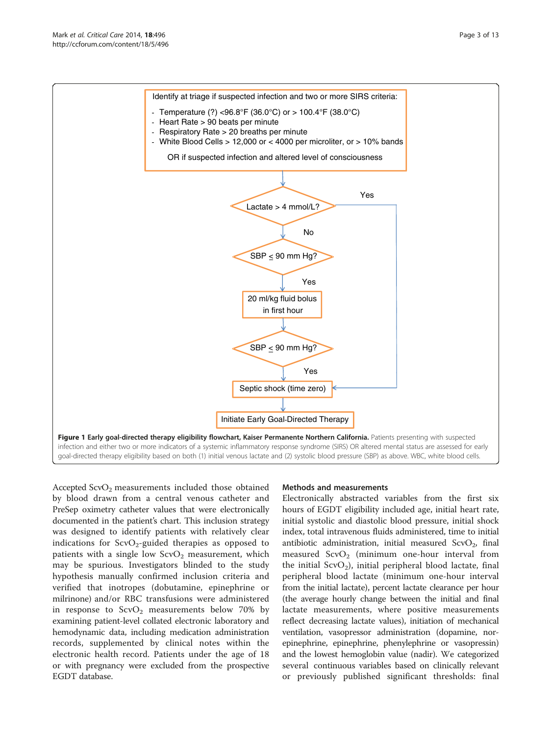<span id="page-2-0"></span>

Accepted  $ScvO<sub>2</sub>$  measurements included those obtained by blood drawn from a central venous catheter and PreSep oximetry catheter values that were electronically documented in the patient's chart. This inclusion strategy was designed to identify patients with relatively clear indications for  $ScvO<sub>2</sub>$ -guided therapies as opposed to patients with a single low  $ScvO<sub>2</sub>$  measurement, which may be spurious. Investigators blinded to the study hypothesis manually confirmed inclusion criteria and verified that inotropes (dobutamine, epinephrine or milrinone) and/or RBC transfusions were administered in response to  $ScvO<sub>2</sub>$  measurements below 70% by examining patient-level collated electronic laboratory and hemodynamic data, including medication administration records, supplemented by clinical notes within the electronic health record. Patients under the age of 18 or with pregnancy were excluded from the prospective EGDT database.

#### Methods and measurements

Electronically abstracted variables from the first six hours of EGDT eligibility included age, initial heart rate, initial systolic and diastolic blood pressure, initial shock index, total intravenous fluids administered, time to initial antibiotic administration, initial measured  $ScvO<sub>2</sub>$ , final measured  $ScvO<sub>2</sub>$  (minimum one-hour interval from the initial  $ScvO<sub>2</sub>$ ), initial peripheral blood lactate, final peripheral blood lactate (minimum one-hour interval from the initial lactate), percent lactate clearance per hour (the average hourly change between the initial and final lactate measurements, where positive measurements reflect decreasing lactate values), initiation of mechanical ventilation, vasopressor administration (dopamine, norepinephrine, epinephrine, phenylephrine or vasopressin) and the lowest hemoglobin value (nadir). We categorized several continuous variables based on clinically relevant or previously published significant thresholds: final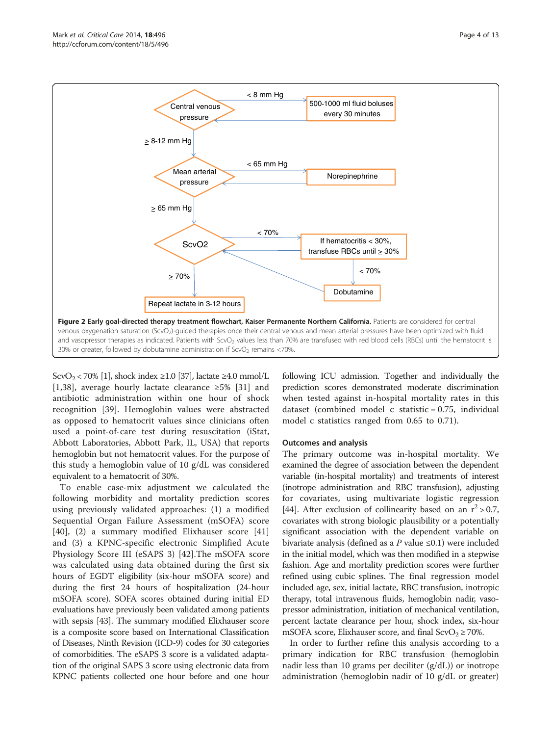<span id="page-3-0"></span>

ScvO<sub>2</sub> < 70% [[1](#page-11-0)], shock index ≥1.0 [\[37](#page-12-0)], lactate ≥4.0 mmol/L [[1](#page-11-0)[,38](#page-12-0)], average hourly lactate clearance ≥5% [\[31](#page-12-0)] and antibiotic administration within one hour of shock recognition [\[39](#page-12-0)]. Hemoglobin values were abstracted as opposed to hematocrit values since clinicians often used a point-of-care test during resuscitation (iStat, Abbott Laboratories, Abbott Park, IL, USA) that reports hemoglobin but not hematocrit values. For the purpose of this study a hemoglobin value of 10 g/dL was considered equivalent to a hematocrit of 30%.

To enable case-mix adjustment we calculated the following morbidity and mortality prediction scores using previously validated approaches: (1) a modified Sequential Organ Failure Assessment (mSOFA) score [[40\]](#page-12-0), (2) a summary modified Elixhauser score [\[41](#page-12-0)] and (3) a KPNC-specific electronic Simplified Acute Physiology Score III (eSAPS 3) [[42](#page-12-0)].The mSOFA score was calculated using data obtained during the first six hours of EGDT eligibility (six-hour mSOFA score) and during the first 24 hours of hospitalization (24-hour mSOFA score). SOFA scores obtained during initial ED evaluations have previously been validated among patients with sepsis [\[43\]](#page-12-0). The summary modified Elixhauser score is a composite score based on International Classification of Diseases, Ninth Revision (ICD-9) codes for 30 categories of comorbidities. The eSAPS 3 score is a validated adaptation of the original SAPS 3 score using electronic data from KPNC patients collected one hour before and one hour

following ICU admission. Together and individually the prediction scores demonstrated moderate discrimination when tested against in-hospital mortality rates in this dataset (combined model c statistic = 0.75, individual model c statistics ranged from 0.65 to 0.71).

#### Outcomes and analysis

The primary outcome was in-hospital mortality. We examined the degree of association between the dependent variable (in-hospital mortality) and treatments of interest (inotrope administration and RBC transfusion), adjusting for covariates, using multivariate logistic regression [[44](#page-12-0)]. After exclusion of collinearity based on an  $r^2 > 0.7$ , covariates with strong biologic plausibility or a potentially significant association with the dependent variable on bivariate analysis (defined as a P value  $\leq 0.1$ ) were included in the initial model, which was then modified in a stepwise fashion. Age and mortality prediction scores were further refined using cubic splines. The final regression model included age, sex, initial lactate, RBC transfusion, inotropic therapy, total intravenous fluids, hemoglobin nadir, vasopressor administration, initiation of mechanical ventilation, percent lactate clearance per hour, shock index, six-hour mSOFA score, Elixhauser score, and final  $ScvO<sub>2</sub> \ge 70$ %.

In order to further refine this analysis according to a primary indication for RBC transfusion (hemoglobin nadir less than 10 grams per deciliter  $(g/dL)$  or inotrope administration (hemoglobin nadir of 10 g/dL or greater)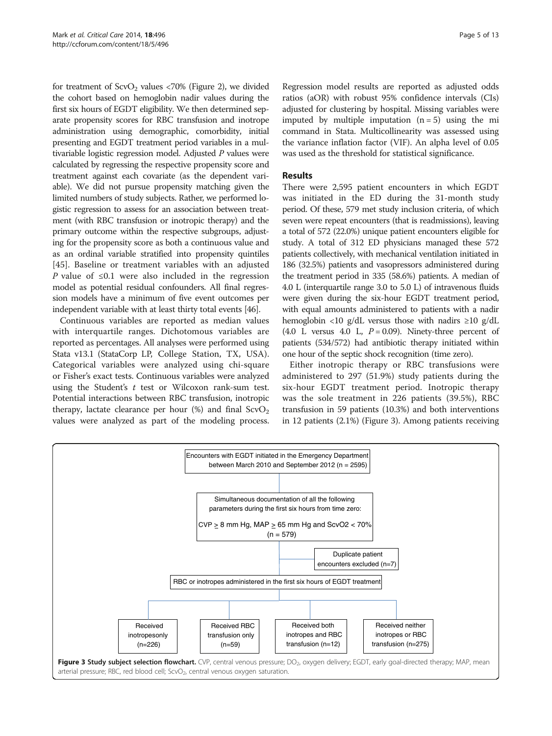for treatment of  $ScvO<sub>2</sub>$  values <70% (Figure [2](#page-3-0)), we divided the cohort based on hemoglobin nadir values during the first six hours of EGDT eligibility. We then determined separate propensity scores for RBC transfusion and inotrope administration using demographic, comorbidity, initial presenting and EGDT treatment period variables in a multivariable logistic regression model. Adjusted P values were calculated by regressing the respective propensity score and treatment against each covariate (as the dependent variable). We did not pursue propensity matching given the limited numbers of study subjects. Rather, we performed logistic regression to assess for an association between treatment (with RBC transfusion or inotropic therapy) and the primary outcome within the respective subgroups, adjusting for the propensity score as both a continuous value and as an ordinal variable stratified into propensity quintiles [[45\]](#page-12-0). Baseline or treatment variables with an adjusted *P* value of ≤0.1 were also included in the regression model as potential residual confounders. All final regression models have a minimum of five event outcomes per independent variable with at least thirty total events [[46](#page-12-0)].

Continuous variables are reported as median values with interquartile ranges. Dichotomous variables are reported as percentages. All analyses were performed using Stata v13.1 (StataCorp LP, College Station, TX, USA). Categorical variables were analyzed using chi-square or Fisher's exact tests. Continuous variables were analyzed using the Student's  $t$  test or Wilcoxon rank-sum test. Potential interactions between RBC transfusion, inotropic therapy, lactate clearance per hour  $(\%)$  and final ScvO<sub>2</sub> values were analyzed as part of the modeling process. Regression model results are reported as adjusted odds ratios (aOR) with robust 95% confidence intervals (CIs) adjusted for clustering by hospital. Missing variables were imputed by multiple imputation  $(n = 5)$  using the mi command in Stata. Multicollinearity was assessed using the variance inflation factor (VIF). An alpha level of 0.05 was used as the threshold for statistical significance.

## Results

There were 2,595 patient encounters in which EGDT was initiated in the ED during the 31-month study period. Of these, 579 met study inclusion criteria, of which seven were repeat encounters (that is readmissions), leaving a total of 572 (22.0%) unique patient encounters eligible for study. A total of 312 ED physicians managed these 572 patients collectively, with mechanical ventilation initiated in 186 (32.5%) patients and vasopressors administered during the treatment period in 335 (58.6%) patients. A median of 4.0 L (interquartile range 3.0 to 5.0 L) of intravenous fluids were given during the six-hour EGDT treatment period, with equal amounts administered to patients with a nadir hemoglobin <10 g/dL versus those with nadirs  $\geq 10$  g/dL (4.0 L versus 4.0 L,  $P = 0.09$ ). Ninety-three percent of patients (534/572) had antibiotic therapy initiated within one hour of the septic shock recognition (time zero).

Either inotropic therapy or RBC transfusions were administered to 297 (51.9%) study patients during the six-hour EGDT treatment period. Inotropic therapy was the sole treatment in 226 patients (39.5%), RBC transfusion in 59 patients (10.3%) and both interventions in 12 patients (2.1%) (Figure 3). Among patients receiving

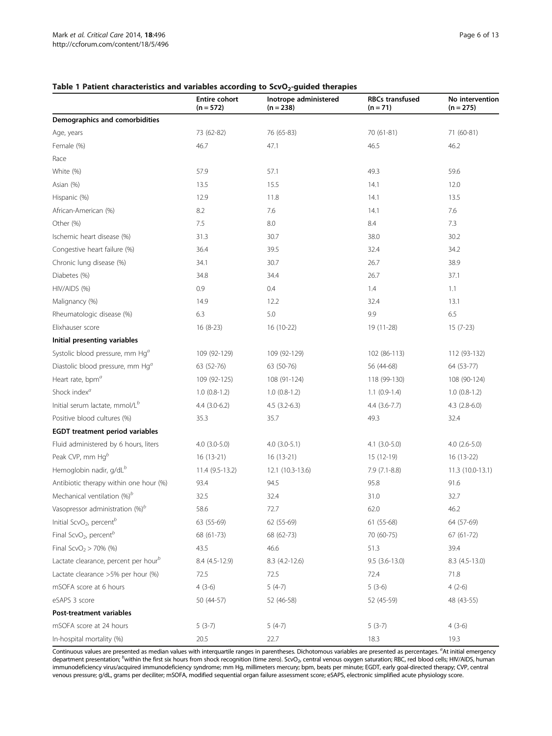## <span id="page-5-0"></span>Table 1 Patient characteristics and variables according to  $ScvO<sub>2</sub>$ -guided therapies

|                                                  | <b>Entire cohort</b><br>$(n = 572)$ | Inotrope administered<br>$(n = 238)$ | <b>RBCs transfused</b><br>$(n = 71)$ | No intervention<br>$(n = 275)$ |
|--------------------------------------------------|-------------------------------------|--------------------------------------|--------------------------------------|--------------------------------|
| Demographics and comorbidities                   |                                     |                                      |                                      |                                |
| Age, years                                       | 73 (62-82)                          | 76 (65-83)                           | 70 (61-81)                           | 71 (60-81)                     |
| Female (%)                                       | 46.7                                | 47.1                                 | 46.5                                 | 46.2                           |
| Race                                             |                                     |                                      |                                      |                                |
| White (%)                                        | 57.9                                | 57.1                                 | 49.3                                 | 59.6                           |
| Asian (%)                                        | 13.5                                | 15.5                                 | 14.1                                 | 12.0                           |
| Hispanic (%)                                     | 12.9                                | 11.8                                 | 14.1                                 | 13.5                           |
| African-American (%)                             | 8.2                                 | 7.6                                  | 14.1                                 | 7.6                            |
| Other (%)                                        | 7.5                                 | 8.0                                  | 8.4                                  | 7.3                            |
| Ischemic heart disease (%)                       | 31.3                                | 30.7                                 | 38.0                                 | 30.2                           |
| Congestive heart failure (%)                     | 36.4                                | 39.5                                 | 32.4                                 | 34.2                           |
| Chronic lung disease (%)                         | 34.1                                | 30.7                                 | 26.7                                 | 38.9                           |
| Diabetes (%)                                     | 34.8                                | 34.4                                 | 26.7                                 | 37.1                           |
| HIV/AIDS (%)                                     | 0.9                                 | 0.4                                  | 1.4                                  | 1.1                            |
| Malignancy (%)                                   | 14.9                                | 12.2                                 | 32.4                                 | 13.1                           |
| Rheumatologic disease (%)                        | 6.3                                 | $5.0\,$                              | 9.9                                  | 6.5                            |
| Elixhauser score                                 | $16(8-23)$                          | 16 (10-22)                           | 19 (11-28)                           | $15(7-23)$                     |
| Initial presenting variables                     |                                     |                                      |                                      |                                |
| Systolic blood pressure, mm Hg <sup>a</sup>      | 109 (92-129)                        | 109 (92-129)                         | 102 (86-113)                         | 112 (93-132)                   |
| Diastolic blood pressure, mm Hg <sup>a</sup>     | 63 (52-76)                          | 63 (50-76)                           | 56 (44-68)                           | 64 (53-77)                     |
| Heart rate, bpm <sup>a</sup>                     | 109 (92-125)                        | 108 (91-124)                         | 118 (99-130)                         | 108 (90-124)                   |
| Shock index <sup>a</sup>                         | $1.0(0.8-1.2)$                      | $1.0(0.8-1.2)$                       | $1.1(0.9-1.4)$                       | $1.0(0.8-1.2)$                 |
| Initial serum lactate, mmol/L <sup>b</sup>       | $4.4(3.0-6.2)$                      | $4.5$ (3.2-6.3)                      | $4.4(3.6-7.7)$                       | $4.3$ $(2.8-6.0)$              |
| Positive blood cultures (%)                      | 35.3                                | 35.7                                 | 49.3                                 | 32.4                           |
| <b>EGDT</b> treatment period variables           |                                     |                                      |                                      |                                |
| Fluid administered by 6 hours, liters            | $4.0$ $(3.0-5.0)$                   | $4.0$ (3.0-5.1)                      | $4.1$ $(3.0-5.0)$                    | $4.0$ $(2.6-5.0)$              |
| Peak CVP, mm Hgb                                 | $16(13-21)$                         | $16(13-21)$                          | 15 (12-19)                           | $16(13-22)$                    |
| Hemoglobin nadir, g/dL <sup>b</sup>              | 11.4 (9.5-13.2)                     | 12.1 (10.3-13.6)                     | $7.9(7.1-8.8)$                       | $11.3(10.0-13.1)$              |
| Antibiotic therapy within one hour (%)           | 93.4                                | 94.5                                 | 95.8                                 | 91.6                           |
| Mechanical ventilation (%) <sup>b</sup>          | 32.5                                | 32.4                                 | 31.0                                 | 32.7                           |
| Vasopressor administration (%) <sup>b</sup>      | 58.6                                | 72.7                                 | 62.0                                 | 46.2                           |
| Initial ScvO <sub>2</sub> , percent <sup>b</sup> | 63 (55-69)                          | 62 (55-69)                           | 61 (55-68)                           | 64 (57-69)                     |
| Final ScvO <sub>2</sub> , percent <sup>b</sup>   | 68 (61-73)                          | 68 (62-73)                           | 70 (60-75)                           | 67 (61-72)                     |
| Final ScvO <sub>2</sub> > 70% (%)                | 43.5                                | 46.6                                 | 51.3                                 | 39.4                           |
| Lactate clearance, percent per hour <sup>b</sup> | 8.4 (4.5-12.9)                      | $8.3(4.2-12.6)$                      | $9.5(3.6-13.0)$                      | $8.3(4.5-13.0)$                |
| Lactate clearance >5% per hour (%)               | 72.5                                | 72.5                                 | 72.4                                 | 71.8                           |
| mSOFA score at 6 hours                           | $4(3-6)$                            | $5(4-7)$                             | $5(3-6)$                             | $4(2-6)$                       |
| eSAPS 3 score                                    | 50 (44-57)                          | 52 (46-58)                           | 52 (45-59)                           | 48 (43-55)                     |
| Post-treatment variables                         |                                     |                                      |                                      |                                |
| mSOFA score at 24 hours                          | $5(3-7)$                            | $5(4-7)$                             | $5(3-7)$                             | $4(3-6)$                       |
| In-hospital mortality (%)                        | 20.5                                | 22.7                                 | 18.3                                 | 19.3                           |

Continuous values are presented as median values with interquartile ranges in parentheses. Dichotomous variables are presented as percentages. <sup>*a*</sup> ti initial emergency department presentation; <sup>b</sup>within the first six hours from shock recognition (time zero). ScvO<sub>2</sub>, central venous oxygen saturation; RBC, red blood cells; HIV/AIDS, human immunodeficiency virus/acquired immunodeficiency syndrome; mm Hg, millimeters mercury; bpm, beats per minute; EGDT, early goal-directed therapy; CVP, central venous pressure; g/dL, grams per deciliter; mSOFA, modified sequential organ failure assessment score; eSAPS, electronic simplified acute physiology score.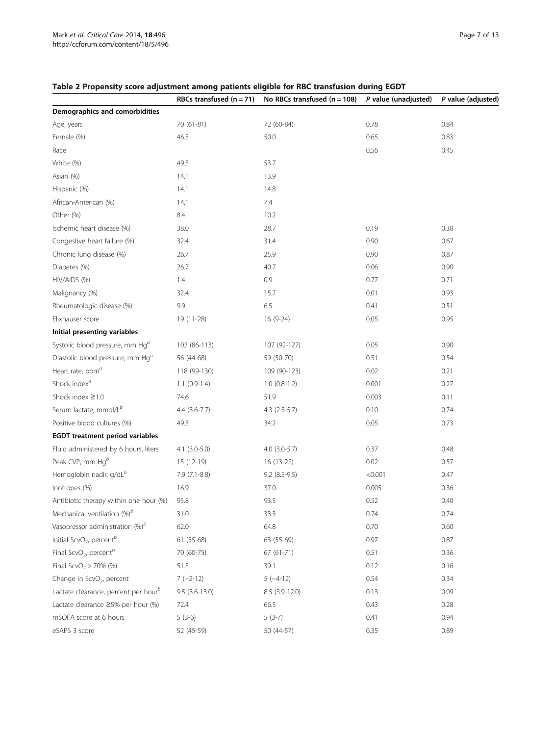|                                                  | RBCs transfused $(n = 71)$ | No RBCs transfused ( $n = 108$ ) | P value (unadjusted) | P value (adjusted) |
|--------------------------------------------------|----------------------------|----------------------------------|----------------------|--------------------|
| Demographics and comorbidities                   |                            |                                  |                      |                    |
| Age, years                                       | 70 (61-81)                 | 72 (60-84)                       | 0.78                 | 0.84               |
| Female (%)                                       | 46.5                       | 50.0                             | 0.65                 | 0.83               |
| Race                                             |                            |                                  | 0.56                 | 0.45               |
| White (%)                                        | 49.3                       | 53.7                             |                      |                    |
| Asian (%)                                        | 14.1                       | 13.9                             |                      |                    |
| Hispanic (%)                                     | 14.1                       | 14.8                             |                      |                    |
| African-American (%)                             | 14.1                       | 7.4                              |                      |                    |
| Other (%)                                        | 8.4                        | 10.2                             |                      |                    |
| Ischemic heart disease (%)                       | 38.0                       | 28.7                             | 0.19                 | 0.38               |
| Congestive heart failure (%)                     | 32.4                       | 31.4                             | 0.90                 | 0.67               |
| Chronic lung disease (%)                         | 26.7                       | 25.9                             | 0.90                 | 0.87               |
| Diabetes (%)                                     | 26.7                       | 40.7                             | 0.06                 | 0.90               |
| HIV/AIDS (%)                                     | 1.4                        | 0.9                              | 0.77                 | 0.71               |
| Malignancy (%)                                   | 32.4                       | 15.7                             | 0.01                 | 0.93               |
| Rheumatologic disease (%)                        | 9.9                        | 6.5                              | 0.41                 | 0.51               |
| Elixhauser score                                 | 19 (11-28)                 | 16 (9-24)                        | 0.05                 | 0.95               |
| Initial presenting variables                     |                            |                                  |                      |                    |
| Systolic blood pressure, mm Hg <sup>a</sup>      | 102 (86-113)               | 107 (92-127)                     | 0.05                 | 0.90               |
| Diastolic blood pressure, mm Hg <sup>a</sup>     | 56 (44-68)                 | 59 (50-70)                       | 0.51                 | 0.54               |
| Heart rate, bpm <sup>a</sup>                     | 118 (99-130)               | 109 (90-123)                     | 0.02                 | 0.21               |
| Shock index <sup><i>a</i></sup>                  | $1.1(0.9-1.4)$             | $1.0(0.8-1.2)$                   | 0.001                | 0.27               |
| Shock index $\geq 1.0$                           | 74.6                       | 51.9                             | 0.003                | 0.11               |
| Serum lactate, mmol/L <sup>b</sup>               | 4.4 (3.6-7.7)              | $4.3$ $(2.5-5.7)$                | 0.10                 | 0.74               |
| Positive blood cultures (%)                      | 49.3                       | 34.2                             | 0.05                 | 0.73               |
| <b>EGDT treatment period variables</b>           |                            |                                  |                      |                    |
| Fluid administered by 6 hours, liters            | $4.1$ $(3.0-5.0)$          | $4.0$ $(3.0-5.7)$                | 0.37                 | 0.48               |
| Peak CVP, mm Hg <sup>b</sup>                     | 15 (12-19)                 | 16 (13-22)                       | 0.02                 | 0.57               |
| Hemoglobin nadir, g/dL <sup>b</sup>              | $7.9(7.1-8.8)$             | $9.2$ (8.5-9.5)                  | < 0.001              | 0.47               |
| Inotropes (%)                                    | 16.9                       | 37.0                             | 0.005                | 0.36               |
| Antibiotic therapy within one hour (%)           | 95.8                       | 93.5                             | 0.52                 | 0.40               |
| Mechanical ventilation (%) <sup>b</sup>          | 31.0                       | 33.3                             | 0.74                 | 0.74               |
| Vasopressor administration $(\%)^b$              | 62.0                       | 64.8                             | 0.70                 | 0.60               |
| Initial ScvO <sub>2</sub> , percent <sup>b</sup> | 61 (55-68)                 | 63 (55-69)                       | 0.97                 | 0.87               |
| Final ScvO <sub>2</sub> , percent <sup>b</sup>   | 70 (60-75)                 | 67 (61-71)                       | 0.51                 | 0.36               |
| Final ScvO <sub>2</sub> > 70% (%)                | 51.3                       | 39.1                             | 0.12                 | 0.16               |
| Change in ScvO <sub>2</sub> , percent            | $7(-2-12)$                 | $5(-4-12)$                       | 0.54                 | 0.34               |
| Lactate clearance, percent per hour <sup>b</sup> | $9.5(3.6-13.0)$            | 8.5 (3.9-12.0)                   | 0.13                 | 0.09               |
| Lactate clearance ≥5% per hour (%)               | 72.4                       | 66.5                             | 0.43                 | 0.28               |
| mSOFA score at 6 hours                           | $5(3-6)$                   | $5(3-7)$                         | 0.41                 | 0.94               |
| eSAPS 3 score                                    | 52 (45-59)                 | 50 (44-57)                       | 0.35                 | 0.89               |

## <span id="page-6-0"></span>Table 2 Propensity score adjustment among patients eligible for RBC transfusion during EGDT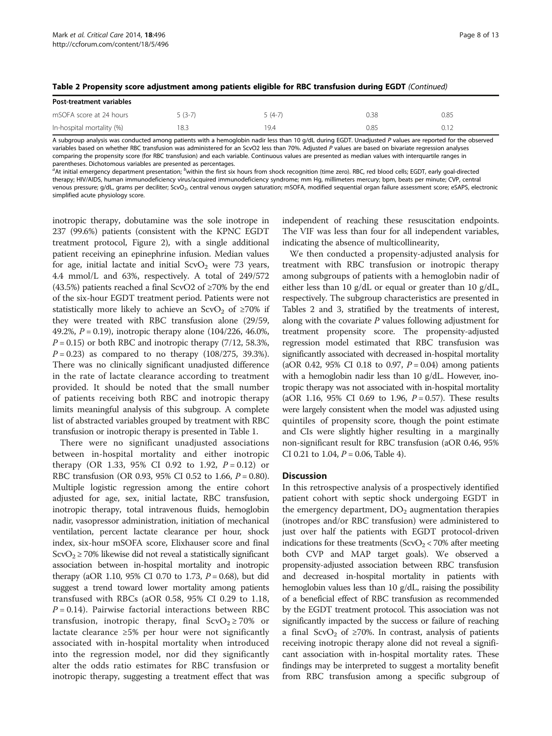| Post-treatment variables  |         |          |      |      |
|---------------------------|---------|----------|------|------|
| mSOFA score at 24 hours   | 5 (3-7) | $5(4-7)$ | 0.38 | 0.85 |
| In-hospital mortality (%) | 18.3    | 19.4     | 0.85 |      |

|  | Table 2 Propensity score adjustment among patients eligible for RBC transfusion during EGDT (Continued) |  |
|--|---------------------------------------------------------------------------------------------------------|--|
|--|---------------------------------------------------------------------------------------------------------|--|

A subgroup analysis was conducted among patients with a hemoglobin nadir less than 10 g/dL during EGDT. Unadjusted P values are reported for the observed variables based on whether RBC transfusion was administered for an ScvO2 less than 70%. Adjusted P values are based on bivariate regression analyses comparing the propensity score (for RBC transfusion) and each variable. Continuous values are presented as median values with interquartile ranges in parentheses. Dichotomous variables are presented as percentages.

a<br>At initial emergency department presentation; <sup>b</sup>within the first six hours from shock recognition (time zero). RBC, red blood cells; EGDT, early goal-directed therapy; HIV/AIDS, human immunodeficiency virus/acquired immunodeficiency syndrome; mm Hg, millimeters mercury; bpm, beats per minute; CVP, central venous pressure; g/dL, grams per deciliter; ScvO<sub>2</sub>, central venous oxygen saturation; mSOFA, modified sequential organ failure assessment score; eSAPS, electronic simplified acute physiology score.

inotropic therapy, dobutamine was the sole inotrope in 237 (99.6%) patients (consistent with the KPNC EGDT treatment protocol, Figure [2](#page-3-0)), with a single additional patient receiving an epinephrine infusion. Median values for age, initial lactate and initial  $ScvO<sub>2</sub>$  were 73 years, 4.4 mmol/L and 63%, respectively. A total of 249/572 (43.5%) patients reached a final ScvO2 of  $\geq$ 70% by the end of the six-hour EGDT treatment period. Patients were not statistically more likely to achieve an ScvO<sub>2</sub> of  $\geq 70\%$  if they were treated with RBC transfusion alone (29/59, 49.2%,  $P = 0.19$ ), inotropic therapy alone (104/226, 46.0%,  $P = 0.15$ ) or both RBC and inotropic therapy (7/12, 58.3%,  $P = 0.23$ ) as compared to no therapy (108/275, 39.3%). There was no clinically significant unadjusted difference in the rate of lactate clearance according to treatment provided. It should be noted that the small number of patients receiving both RBC and inotropic therapy limits meaningful analysis of this subgroup. A complete list of abstracted variables grouped by treatment with RBC transfusion or inotropic therapy is presented in Table [1.](#page-5-0)

There were no significant unadjusted associations between in-hospital mortality and either inotropic therapy (OR 1.33, 95% CI 0.92 to 1.92,  $P = 0.12$ ) or RBC transfusion (OR 0.93, 95% CI 0.52 to 1.66,  $P = 0.80$ ). Multiple logistic regression among the entire cohort adjusted for age, sex, initial lactate, RBC transfusion, inotropic therapy, total intravenous fluids, hemoglobin nadir, vasopressor administration, initiation of mechanical ventilation, percent lactate clearance per hour, shock index, six-hour mSOFA score, Elixhauser score and final  $ScvO<sub>2</sub> \ge 70\%$  likewise did not reveal a statistically significant association between in-hospital mortality and inotropic therapy (aOR 1.10, 95% CI 0.70 to 1.73,  $P = 0.68$ ), but did suggest a trend toward lower mortality among patients transfused with RBCs (aOR 0.58, 95% CI 0.29 to 1.18,  $P = 0.14$ ). Pairwise factorial interactions between RBC transfusion, inotropic therapy, final  $ScvO_2 \ge 70\%$  or lactate clearance ≥5% per hour were not significantly associated with in-hospital mortality when introduced into the regression model, nor did they significantly alter the odds ratio estimates for RBC transfusion or inotropic therapy, suggesting a treatment effect that was independent of reaching these resuscitation endpoints. The VIF was less than four for all independent variables, indicating the absence of multicollinearity,

We then conducted a propensity-adjusted analysis for treatment with RBC transfusion or inotropic therapy among subgroups of patients with a hemoglobin nadir of either less than 10 g/dL or equal or greater than 10 g/dL, respectively. The subgroup characteristics are presented in Tables [2](#page-6-0) and [3,](#page-8-0) stratified by the treatments of interest, along with the covariate  $P$  values following adjustment for treatment propensity score. The propensity-adjusted regression model estimated that RBC transfusion was significantly associated with decreased in-hospital mortality (aOR 0.42, 95% CI 0.18 to 0.97,  $P = 0.04$ ) among patients with a hemoglobin nadir less than 10 g/dL. However, inotropic therapy was not associated with in-hospital mortality (aOR 1.16, 95% CI 0.69 to 1.96,  $P = 0.57$ ). These results were largely consistent when the model was adjusted using quintiles of propensity score, though the point estimate and CIs were slightly higher resulting in a marginally non-significant result for RBC transfusion (aOR 0.46, 95% CI 0.21 to 1.04,  $P = 0.06$ , Table [4\)](#page-9-0).

## **Discussion**

In this retrospective analysis of a prospectively identified patient cohort with septic shock undergoing EGDT in the emergency department,  $DO<sub>2</sub>$  augmentation therapies (inotropes and/or RBC transfusion) were administered to just over half the patients with EGDT protocol-driven indications for these treatments ( $ScvO<sub>2</sub> < 70%$  after meeting both CVP and MAP target goals). We observed a propensity-adjusted association between RBC transfusion and decreased in-hospital mortality in patients with hemoglobin values less than 10 g/dL, raising the possibility of a beneficial effect of RBC transfusion as recommended by the EGDT treatment protocol. This association was not significantly impacted by the success or failure of reaching a final ScvO<sub>2</sub> of  $\geq$ 70%. In contrast, analysis of patients receiving inotropic therapy alone did not reveal a significant association with in-hospital mortality rates. These findings may be interpreted to suggest a mortality benefit from RBC transfusion among a specific subgroup of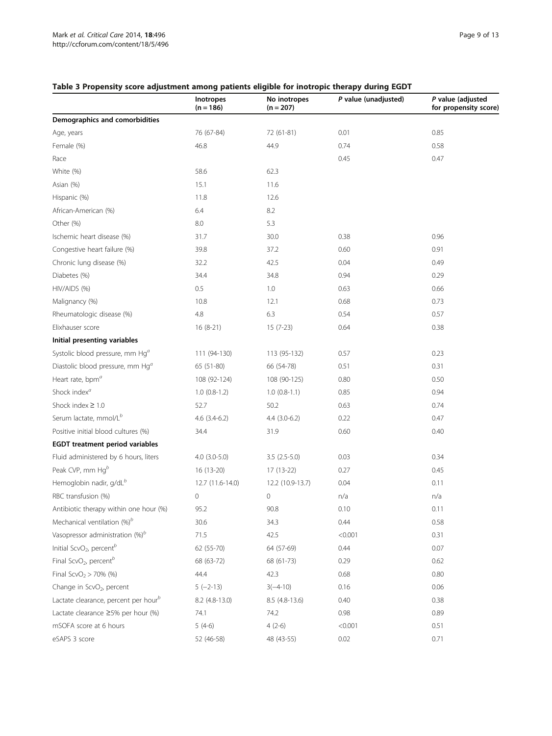## <span id="page-8-0"></span>Table 3 Propensity score adjustment among patients eligible for inotropic therapy during EGDT

|                                                  | Inotropes<br>$(n = 186)$ | No inotropes<br>$(n = 207)$ | P value (unadjusted) | P value (adjusted<br>for propensity score) |  |
|--------------------------------------------------|--------------------------|-----------------------------|----------------------|--------------------------------------------|--|
| Demographics and comorbidities                   |                          |                             |                      |                                            |  |
| Age, years                                       | 76 (67-84)               | 72 (61-81)                  | 0.01                 | 0.85                                       |  |
| Female (%)                                       | 46.8                     | 44.9                        | 0.74                 | 0.58                                       |  |
| Race                                             |                          |                             | 0.45                 | 0.47                                       |  |
| White (%)                                        | 58.6                     | 62.3                        |                      |                                            |  |
| Asian (%)                                        | 15.1                     | 11.6                        |                      |                                            |  |
| Hispanic (%)                                     | 11.8                     | 12.6                        |                      |                                            |  |
| African-American (%)                             | 6.4                      | 8.2                         |                      |                                            |  |
| Other (%)                                        | 8.0                      | 5.3                         |                      |                                            |  |
| Ischemic heart disease (%)                       | 31.7                     | 30.0                        | 0.38                 | 0.96                                       |  |
| Congestive heart failure (%)                     | 39.8                     | 37.2                        | 0.60                 | 0.91                                       |  |
| Chronic lung disease (%)                         | 32.2                     | 42.5                        | 0.04                 | 0.49                                       |  |
| Diabetes (%)                                     | 34.4                     | 34.8                        | 0.94                 | 0.29                                       |  |
| HIV/AIDS (%)                                     | 0.5                      | 1.0                         | 0.63                 | 0.66                                       |  |
| Malignancy (%)                                   | 10.8                     | 12.1                        | 0.68                 | 0.73                                       |  |
| Rheumatologic disease (%)                        | 4.8                      | 6.3                         | 0.54                 | 0.57                                       |  |
| Elixhauser score                                 | $16(8-21)$               | $15(7-23)$                  | 0.64                 | 0.38                                       |  |
| Initial presenting variables                     |                          |                             |                      |                                            |  |
| Systolic blood pressure, mm Hg <sup>a</sup>      | 111 (94-130)             | 113 (95-132)                | 0.57                 | 0.23                                       |  |
| Diastolic blood pressure, mm Hg <sup>a</sup>     | 65 (51-80)               | 66 (54-78)                  | 0.51                 | 0.31                                       |  |
| Heart rate, bpm <sup>a</sup>                     | 108 (92-124)             | 108 (90-125)                | 0.80                 | 0.50                                       |  |
| Shock index <sup><i>a</i></sup>                  | $1.0(0.8-1.2)$           | $1.0(0.8-1.1)$              | 0.85                 | 0.94                                       |  |
| Shock index $\geq 1.0$                           | 52.7                     | 50.2                        | 0.63                 | 0.74                                       |  |
| Serum lactate, mmol/L <sup>b</sup>               | $4.6(3.4-6.2)$           | 4.4 (3.0-6.2)               | 0.22                 | 0.47                                       |  |
| Positive initial blood cultures (%)              | 34.4                     | 31.9                        | 0.60                 | 0.40                                       |  |
| <b>EGDT</b> treatment period variables           |                          |                             |                      |                                            |  |
| Fluid administered by 6 hours, liters            | $4.0$ $(3.0-5.0)$        | $3.5(2.5-5.0)$              | 0.03                 | 0.34                                       |  |
| Peak CVP, mm Hg <sup>b</sup>                     | $16(13-20)$              | $17(13-22)$                 | 0.27                 | 0.45                                       |  |
| Hemoglobin nadir, g/dL <sup>b</sup>              | 12.7 (11.6-14.0)         | 12.2 (10.9-13.7)            | 0.04                 | 0.11                                       |  |
| RBC transfusion (%)                              | 0                        | $\mathsf{O}\xspace$         | n/a                  | n/a                                        |  |
| Antibiotic therapy within one hour (%)           | 95.2                     | 90.8                        | 0.10                 | 0.11                                       |  |
| Mechanical ventilation $(\%)^b$                  | 30.6                     | 34.3                        | 0.44                 | 0.58                                       |  |
| Vasopressor administration (%) <sup>b</sup>      | 71.5                     | 42.5                        | < 0.001              | 0.31                                       |  |
| Initial ScvO <sub>2</sub> , percent <sup>b</sup> | 62 (55-70)               | 64 (57-69)                  | 0.44                 | 0.07                                       |  |
| Final ScvO <sub>2</sub> , percent <sup>b</sup>   | 68 (63-72)               | 68 (61-73)                  | 0.29                 | 0.62                                       |  |
| Final ScvO <sub>2</sub> > 70% (%)                | 44.4                     | 42.3                        | 0.68                 | 0.80                                       |  |
| Change in ScvO <sub>2</sub> , percent            | $5(-2-13)$               | $3(-4-10)$                  | 0.16                 | 0.06                                       |  |
| Lactate clearance, percent per hour <sup>b</sup> | 8.2 (4.8-13.0)           | 8.5 (4.8-13.6)              | 0.40                 | 0.38                                       |  |
| Lactate clearance ≥5% per hour (%)               | 74.1                     | 74.2                        | 0.98                 | 0.89                                       |  |
| mSOFA score at 6 hours                           | $5(4-6)$                 | $4(2-6)$                    | < 0.001              | 0.51                                       |  |
| eSAPS 3 score                                    | 52 (46-58)               | 48 (43-55)                  | 0.02                 | 0.71                                       |  |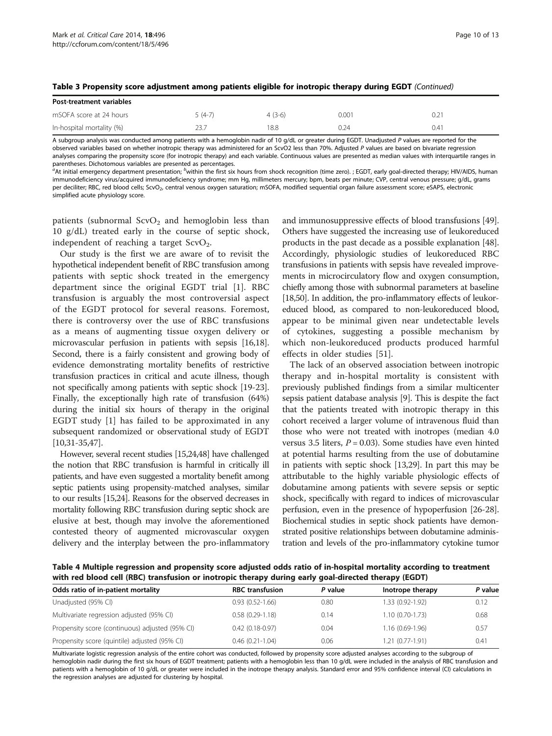| Post-treatment variables  |          |          |       |      |
|---------------------------|----------|----------|-------|------|
| mSOFA score at 24 hours   | $5(4-7)$ | $4(3-6)$ | 0.001 |      |
| In-hospital mortality (%) | 23.7     | 18.8     | 0.24  | 0.41 |

<span id="page-9-0"></span>

| Table 3 Propensity score adjustment among patients eligible for inotropic therapy during EGDT (Continued) |  |  |  |  |  |
|-----------------------------------------------------------------------------------------------------------|--|--|--|--|--|
|-----------------------------------------------------------------------------------------------------------|--|--|--|--|--|

A subgroup analysis was conducted among patients with a hemoglobin nadir of 10 g/dL or greater during EGDT. Unadjusted P values are reported for the observed variables based on whether inotropic therapy was administered for an ScvO2 less than 70%. Adjusted P values are based on bivariate regression analyses comparing the propensity score (for inotropic therapy) and each variable. Continuous values are presented as median values with interquartile ranges in parentheses. Dichotomous variables are presented as percentages.

a<br>At initial emergency department presentation; <sup>b</sup>within the first six hours from shock recognition (time zero). ; EGDT, early goal-directed therapy; HIV/AIDS, human immunodeficiency virus/acquired immunodeficiency syndrome; mm Hg, millimeters mercury; bpm, beats per minute; CVP, central venous pressure; g/dL, grams per deciliter; RBC, red blood cells; ScvO<sub>2</sub>, central venous oxygen saturation; mSOFA, modified sequential organ failure assessment score; eSAPS, electronic simplified acute physiology score.

patients (subnormal  $ScvO<sub>2</sub>$  and hemoglobin less than 10 g/dL) treated early in the course of septic shock, independent of reaching a target  $ScvO<sub>2</sub>$ .

Our study is the first we are aware of to revisit the hypothetical independent benefit of RBC transfusion among patients with septic shock treated in the emergency department since the original EGDT trial [[1\]](#page-11-0). RBC transfusion is arguably the most controversial aspect of the EGDT protocol for several reasons. Foremost, there is controversy over the use of RBC transfusions as a means of augmenting tissue oxygen delivery or microvascular perfusion in patients with sepsis [\[16,18](#page-11-0)]. Second, there is a fairly consistent and growing body of evidence demonstrating mortality benefits of restrictive transfusion practices in critical and acute illness, though not specifically among patients with septic shock [[19](#page-11-0)-[23](#page-11-0)]. Finally, the exceptionally high rate of transfusion (64%) during the initial six hours of therapy in the original EGDT study [\[1](#page-11-0)] has failed to be approximated in any subsequent randomized or observational study of EGDT [[10](#page-11-0)[,31](#page-12-0)-[35,47\]](#page-12-0).

However, several recent studies [\[15,24](#page-11-0)[,48](#page-12-0)] have challenged the notion that RBC transfusion is harmful in critically ill patients, and have even suggested a mortality benefit among septic patients using propensity-matched analyses, similar to our results [[15,24](#page-11-0)]. Reasons for the observed decreases in mortality following RBC transfusion during septic shock are elusive at best, though may involve the aforementioned contested theory of augmented microvascular oxygen delivery and the interplay between the pro-inflammatory

and immunosuppressive effects of blood transfusions [[49](#page-12-0)]. Others have suggested the increasing use of leukoreduced products in the past decade as a possible explanation [[48](#page-12-0)]. Accordingly, physiologic studies of leukoreduced RBC transfusions in patients with sepsis have revealed improvements in microcirculatory flow and oxygen consumption, chiefly among those with subnormal parameters at baseline [[18](#page-11-0)[,50\]](#page-12-0). In addition, the pro-inflammatory effects of leukoreduced blood, as compared to non-leukoreduced blood, appear to be minimal given near undetectable levels of cytokines, suggesting a possible mechanism by which non-leukoreduced products produced harmful effects in older studies [[51\]](#page-12-0).

The lack of an observed association between inotropic therapy and in-hospital mortality is consistent with previously published findings from a similar multicenter sepsis patient database analysis [[9\]](#page-11-0). This is despite the fact that the patients treated with inotropic therapy in this cohort received a larger volume of intravenous fluid than those who were not treated with inotropes (median 4.0 versus 3.5 liters,  $P = 0.03$ ). Some studies have even hinted at potential harms resulting from the use of dobutamine in patients with septic shock [[13](#page-11-0),[29](#page-11-0)]. In part this may be attributable to the highly variable physiologic effects of dobutamine among patients with severe sepsis or septic shock, specifically with regard to indices of microvascular perfusion, even in the presence of hypoperfusion [[26](#page-11-0)-[28](#page-11-0)]. Biochemical studies in septic shock patients have demonstrated positive relationships between dobutamine administration and levels of the pro-inflammatory cytokine tumor

Table 4 Multiple regression and propensity score adjusted odds ratio of in-hospital mortality according to treatment with red blood cell (RBC) transfusion or inotropic therapy during early goal-directed therapy (EGDT)

| Odds ratio of in-patient mortality              | <b>RBC</b> transfusion | P value | Inotrope therapy  | P value |
|-------------------------------------------------|------------------------|---------|-------------------|---------|
| Unadjusted (95% CI)                             | $0.93(0.52-1.66)$      | 0.80    | 1.33 (0.92-1.92)  | 0.12    |
| Multivariate regression adjusted (95% CI)       | $0.58(0.29-1.18)$      | 0.14    | $1.10(0.70-1.73)$ | 0.68    |
| Propensity score (continuous) adjusted (95% CI) | $0.42(0.18-0.97)$      | 0.04    | $1.16(0.69-1.96)$ | 0.57    |
| Propensity score (quintile) adjusted (95% CI)   | $0.46(0.21-1.04)$      | 0.06    | $1.21(0.77-1.91)$ | 0.41    |

Multivariate logistic regression analysis of the entire cohort was conducted, followed by propensity score adjusted analyses according to the subgroup of hemoglobin nadir during the first six hours of EGDT treatment; patients with a hemoglobin less than 10 g/dL were included in the analysis of RBC transfusion and patients with a hemoglobin of 10 g/dL or greater were included in the inotrope therapy analysis. Standard error and 95% confidence interval (CI) calculations in the regression analyses are adjusted for clustering by hospital.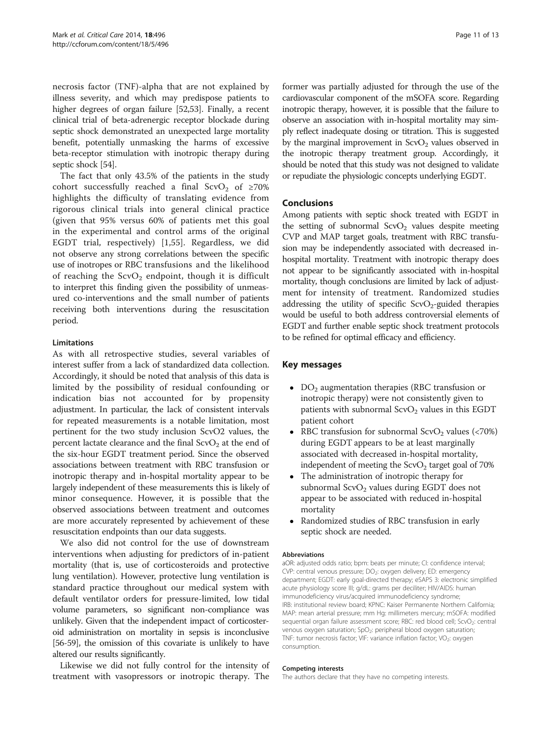necrosis factor (TNF)-alpha that are not explained by illness severity, and which may predispose patients to higher degrees of organ failure [\[52,53](#page-12-0)]. Finally, a recent clinical trial of beta-adrenergic receptor blockade during septic shock demonstrated an unexpected large mortality benefit, potentially unmasking the harms of excessive beta-receptor stimulation with inotropic therapy during septic shock [\[54\]](#page-12-0).

The fact that only 43.5% of the patients in the study cohort successfully reached a final  $ScvO<sub>2</sub>$  of ≥70% highlights the difficulty of translating evidence from rigorous clinical trials into general clinical practice (given that 95% versus 60% of patients met this goal in the experimental and control arms of the original EGDT trial, respectively) [\[1](#page-11-0),[55\]](#page-12-0). Regardless, we did not observe any strong correlations between the specific use of inotropes or RBC transfusions and the likelihood of reaching the  $ScvO<sub>2</sub>$  endpoint, though it is difficult to interpret this finding given the possibility of unmeasured co-interventions and the small number of patients receiving both interventions during the resuscitation period.

## Limitations

As with all retrospective studies, several variables of interest suffer from a lack of standardized data collection. Accordingly, it should be noted that analysis of this data is limited by the possibility of residual confounding or indication bias not accounted for by propensity adjustment. In particular, the lack of consistent intervals for repeated measurements is a notable limitation, most pertinent for the two study inclusion ScvO2 values, the percent lactate clearance and the final  $ScvO<sub>2</sub>$  at the end of the six-hour EGDT treatment period. Since the observed associations between treatment with RBC transfusion or inotropic therapy and in-hospital mortality appear to be largely independent of these measurements this is likely of minor consequence. However, it is possible that the observed associations between treatment and outcomes are more accurately represented by achievement of these resuscitation endpoints than our data suggests.

We also did not control for the use of downstream interventions when adjusting for predictors of in-patient mortality (that is, use of corticosteroids and protective lung ventilation). However, protective lung ventilation is standard practice throughout our medical system with default ventilator orders for pressure-limited, low tidal volume parameters, so significant non-compliance was unlikely. Given that the independent impact of corticosteroid administration on mortality in sepsis is inconclusive [[56](#page-12-0)-[59\]](#page-12-0), the omission of this covariate is unlikely to have altered our results significantly.

Likewise we did not fully control for the intensity of treatment with vasopressors or inotropic therapy. The

former was partially adjusted for through the use of the cardiovascular component of the mSOFA score. Regarding inotropic therapy, however, it is possible that the failure to observe an association with in-hospital mortality may simply reflect inadequate dosing or titration. This is suggested by the marginal improvement in  $ScvO<sub>2</sub>$  values observed in the inotropic therapy treatment group. Accordingly, it should be noted that this study was not designed to validate or repudiate the physiologic concepts underlying EGDT.

## **Conclusions**

Among patients with septic shock treated with EGDT in the setting of subnormal  $ScvO<sub>2</sub>$  values despite meeting CVP and MAP target goals, treatment with RBC transfusion may be independently associated with decreased inhospital mortality. Treatment with inotropic therapy does not appear to be significantly associated with in-hospital mortality, though conclusions are limited by lack of adjustment for intensity of treatment. Randomized studies addressing the utility of specific  $ScvO<sub>2</sub>$ -guided therapies would be useful to both address controversial elements of EGDT and further enable septic shock treatment protocols to be refined for optimal efficacy and efficiency.

#### Key messages

- DO<sub>2</sub> augmentation therapies (RBC transfusion or inotropic therapy) were not consistently given to patients with subnormal  $ScvO<sub>2</sub>$  values in this EGDT patient cohort
- RBC transfusion for subnormal  $ScvO<sub>2</sub>$  values (<70%) during EGDT appears to be at least marginally associated with decreased in-hospital mortality, independent of meeting the  $ScvO<sub>2</sub>$  target goal of 70%
- The administration of inotropic therapy for subnormal  $ScvO<sub>2</sub>$  values during EGDT does not appear to be associated with reduced in-hospital mortality
- Randomized studies of RBC transfusion in early septic shock are needed.

#### Abbreviations

aOR: adjusted odds ratio; bpm: beats per minute; CI: confidence interval; CVP: central venous pressure; DO<sub>2</sub>: oxygen delivery; ED: emergency department; EGDT: early goal-directed therapy; eSAPS 3: electronic simplified acute physiology score III; g/dL: grams per deciliter; HIV/AIDS: human immunodeficiency virus/acquired immunodeficiency syndrome; IRB: institutional review board; KPNC: Kaiser Permanente Northern California; MAP: mean arterial pressure; mm Hg: millimeters mercury; mSOFA: modified sequential organ failure assessment score; RBC: red blood cell; ScvO<sub>2</sub>: central venous oxygen saturation;  $SpO<sub>2</sub>$ : peripheral blood oxygen saturation; TNF: tumor necrosis factor; VIF: variance inflation factor; VO<sub>2</sub>: oxygen consumption.

#### Competing interests

The authors declare that they have no competing interests.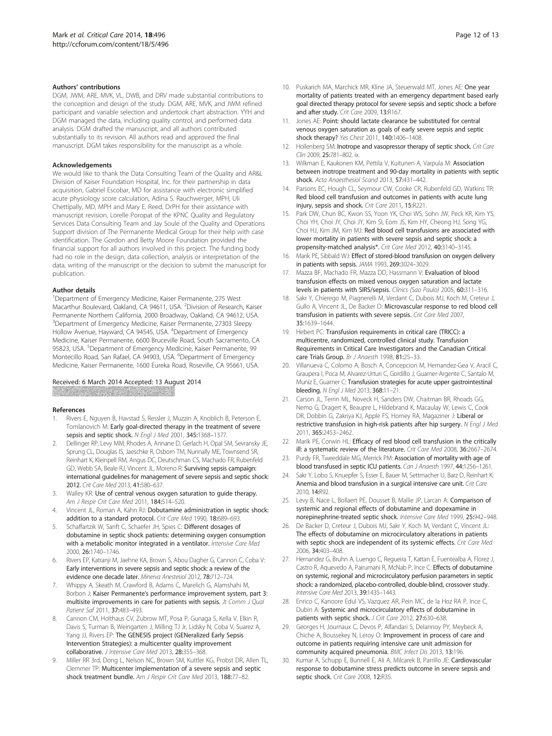#### <span id="page-11-0"></span>Authors' contributions

DGM, JWM, ARE, MVK, VL, DWB, and DRV made substantial contributions to the conception and design of the study. DGM, ARE, MVK, and JWM refined participant and variable selection and undertook chart abstraction. YYH and DGM managed the data, including quality control, and performed data analysis. DGM drafted the manuscript, and all authors contributed substantially to its revision. All authors read and approved the final manuscript. DGM takes responsibility for the manuscript as a whole.

#### Acknowledgements

We would like to thank the Data Consulting Team of the Quality and AR&L Division of Kaiser Foundation Hospital, Inc. for their partnership in data acquisition, Gabriel Escobar, MD for assistance with electronic simplified acute physiology score calculation, Adina S. Rauchwerger, MPH, Uli Chettipally, MD, MPH and Mary E. Reed, DrPH for their assistance with manuscript revision, Lorelle Poropat of the KPNC Quality and Regulatory Services Data Consulting Team and Jay Soule of the Quality and Operations Support division of The Permanente Medical Group for their help with case identification. The Gordon and Betty Moore Foundation provided the financial support for all authors involved in this project. The funding body had no role in the design, data collection, analysis or interpretation of the data, writing of the manuscript or the decision to submit the manuscript for publication.

#### Author details

<sup>1</sup>Department of Emergency Medicine, Kaiser Permanente, 275 West Macarthur Boulevard, Oakland, CA 94611, USA. <sup>2</sup>Division of Research, Kaiser Permanente Northern California, 2000 Broadway, Oakland, CA 94612, USA. 3 Department of Emergency Medicine, Kaiser Permanente, 27303 Sleepy Hollow Avenue, Hayward, CA 94545, USA. <sup>4</sup>Department of Emergency Medicine, Kaiser Permanente, 6600 Bruceville Road, South Sacramento, CA 95823, USA. <sup>5</sup>Department of Emergency Medicine, Kaiser Permanente, 99 Montecillo Road, San Rafael, CA 94903, USA. <sup>6</sup>Department of Emergency Medicine, Kaiser Permanente, 1600 Eureka Road, Roseville, CA 95661, USA.

# Received: 6 March 2014 Accepted: 13 August 2014

**Comment Comments** 

#### References

- 1. Rivers E, Nguyen B, Havstad S, Ressler J, Muzzin A, Knoblich B, Peterson E, Tomlanovich M: Early goal-directed therapy in the treatment of severe sepsis and septic shock. N Engl J Med 2001, 345:1368–1377.
- 2. Dellinger RP, Levy MM, Rhodes A, Annane D, Gerlach H, Opal SM, Sevransky JE, Sprung CL, Douglas IS, Jaeschke R, Osborn TM, Nunnally ME, Townsend SR, Reinhart K, Kleinpell RM, Angus DC, Deutschman CS, Machado FR, Rubenfeld GD, Webb SA, Beale RJ, Vincent JL, Moreno R: Surviving sepsis campaign: international guidelines for management of severe sepsis and septic shock: 2012. Crit Care Med 2013, 41:580–637.
- 3. Walley KR: Use of central venous oxygen saturation to guide therapy. Am J Respir Crit Care Med 2011, 184:514–520.
- 4. Vincent JL, Roman A, Kahn RJ: Dobutamine administration in septic shock: addition to a standard protocol. Crit Care Med 1990, 18:689–693.
- 5. Schaffartzik W, Sanft C, Schaefer JH, Spies C: Different dosages of dobutamine in septic shock patients: determining oxygen consumption with a metabolic monitor integrated in a ventilator. Intensive Care Med 2000, 26:1740–1746.
- 6. Rivers EP, Katranji M, Jaehne KA, Brown S, Abou Dagher G, Cannon C, Coba V: Early interventions in severe sepsis and septic shock: a review of the evidence one decade later. Minerva Anestesiol 2012, 78:712–724.
- 7. Whippy A, Skeath M, Crawford B, Adams C, Marelich G, Alamshahi M, Borbon J: Kaiser Permanente's performance improvement system, part 3: multisite improvements in care for patients with sepsis. Jt Comm J Qual Patient Saf 2011, 37:483–493.
- 8. Cannon CM, Holthaus CV, Zubrow MT, Posa P, Gunaga S, Kella V, Elkin R, Davis S, Turman B, Weingarten J, Milling TJ Jr, Lidsky N, Coba V, Suarez A, Yang JJ, Rivers EP: The GENESIS project (GENeralized Early Sepsis Intervention Strategies): a multicenter quality improvement collaborative. J Intensive Care Med 2013, 28:355-368.
- 9. Miller RR 3rd, Dong L, Nelson NC, Brown SM, Kuttler KG, Probst DR, Allen TL, Clemmer TP: Multicenter implementation of a severe sepsis and septic shock treatment bundle. Am J Respir Crit Care Med 2013, 188:77-82.
- 10. Puskarich MA, Marchick MR, Kline JA, Steuerwald MT, Jones AE: One year mortality of patients treated with an emergency department based early goal directed therapy protocol for severe sepsis and septic shock: a before and after study. Crit Care 2009, 13:R167.
- 11. Jones AE: Point: should lactate clearance be substituted for central venous oxygen saturation as goals of early severe sepsis and septic shock therapy? Yes Chest 2011, 140:1406–1408.
- 12. Hollenberg SM: Inotrope and vasopressor therapy of septic shock. Crit Care Clin 2009, 25:781–802. ix.
- 13. Wilkman E, Kaukonen KM, Pettila V, Kuitunen A, Varpula M: Association between inotrope treatment and 90-day mortality in patients with septic shock. Acta Anaesthesiol Scand 2013, 57:431–442.
- 14. Parsons EC, Hough CL, Seymour CW, Cooke CR, Rubenfeld GD, Watkins TR: Red blood cell transfusion and outcomes in patients with acute lung injury, sepsis and shock. Crit Care 2011, 15:R221.
- 15. Park DW, Chun BC, Kwon SS, Yoon YK, Choi WS, Sohn JW, Peck KR, Kim YS, Choi YH, Choi JY, Choi JY, Kim SI, Eom JS, Kim HY, Cheong HJ, Song YG, Choi HJ, Kim JM, Kim MJ: Red blood cell transfusions are associated with lower mortality in patients with severe sepsis and septic shock: a propensity-matched analysis\*. Crit Care Med 2012, 40:3140–3145.
- 16. Marik PE, Sibbald WJ: Effect of stored-blood transfusion on oxygen delivery in patients with sepsis. JAMA 1993, 269:3024–3029.
- 17. Mazza BE, Machado FR, Mazza DD, Hassmann V: Evaluation of blood transfusion effects on mixed venous oxygen saturation and lactate levels in patients with SIRS/sepsis. Clinics (Sao Paulo) 2005, 60:311–316.
- 18. Sakr Y, Chierego M, Piagnerelli M, Verdant C, Dubois MJ, Koch M, Creteur J, Gullo A, Vincent JL, De Backer D: Microvascular response to red blood cell transfusion in patients with severe sepsis. Crit Care Med 2007, 35:1639–1644.
- 19. Hebert PC: Transfusion requirements in critical care (TRICC): a multicentre, randomized, controlled clinical study. Transfusion Requirements in Critical Care Investigators and the Canadian Critical care Trials Group. Br J Anaesth 1998, 81:25–33.
- 20. Villanueva C, Colomo A, Bosch A, Concepcion M, Hernandez-Gea V, Aracil C, Graupera I, Poca M, Alvarez-Urturi C, Gordillo J, Guarner-Argente C, Santalo M, Muniz E, Guarner C: Transfusion strategies for acute upper gastrointestinal bleeding. N Engl J Med 2013, 368:11–21.
- 21. Carson JL, Terrin ML, Noveck H, Sanders DW, Chaitman BR, Rhoads GG, Nemo G, Dragert K, Beaupre L, Hildebrand K, Macaulay W, Lewis C, Cook DR, Dobbin G, Zakriya KJ, Apple FS, Horney RA, Magaziner J: Liberal or restrictive transfusion in high-risk patients after hip surgery. N Engl J Med 2011, 365:2453–2462.
- 22. Marik PE, Corwin HL: Efficacy of red blood cell transfusion in the critically ill: a systematic review of the literature. Crit Care Med 2008, 36:2667–2674.
- 23. Purdy FR, Tweeddale MG, Merrick PM: Association of mortality with age of blood transfused in septic ICU patients. Can J Anaesth 1997, 44:1256–1261.
- 24. Sakr Y, Lobo S, Knuepfer S, Esser E, Bauer M, Settmacher U, Barz D, Reinhart K: Anemia and blood transfusion in a surgical intensive care unit. Crit Care 2010, 14:R92.
- 25. Levy B, Nace L, Bollaert PE, Dousset B, Mallie JP, Larcan A: Comparison of systemic and regional effects of dobutamine and dopexamine in norepinephrine-treated septic shock. Intensive Care Med 1999, 25:942–948.
- 26. De Backer D, Creteur J, Dubois MJ, Sakr Y, Koch M, Verdant C, Vincent JL: The effects of dobutamine on microcirculatory alterations in patients with septic shock are independent of its systemic effects. Crit Care Med 2006, 34:403–408.
- 27. Hernandez G, Bruhn A, Luengo C, Regueira T, Kattan E, Fuentealba A, Florez J, Castro R, Aquevedo A, Pairumani R, McNab P, Ince C: Effects of dobutamine on systemic, regional and microcirculatory perfusion parameters in septic shock: a randomized, placebo-controlled, double-blind, crossover study. Intensive Care Med 2013, 39:1435–1443.
- 28. Enrico C, Kanoore Edul VS, Vazquez AR, Pein MC, de la Hoz RA P, Ince C, Dubin A: Systemic and microcirculatory effects of dobutamine in patients with septic shock. J Crit Care 2012, 27:630-638.
- 29. Georges H, Journaux C, Devos P, Alfandari S, Delannoy PY, Meybeck A, Chiche A, Boussekey N, Leroy O: Improvement in process of care and outcome in patients requiring intensive care unit admission for community acquired pneumonia. BMC Infect Dis 2013, 13:196.
- 30. Kumar A, Schupp E, Bunnell E, Ali A, Milcarek B, Parrillo JE: Cardiovascular response to dobutamine stress predicts outcome in severe sepsis and septic shock. Crit Care 2008, 12:R35.